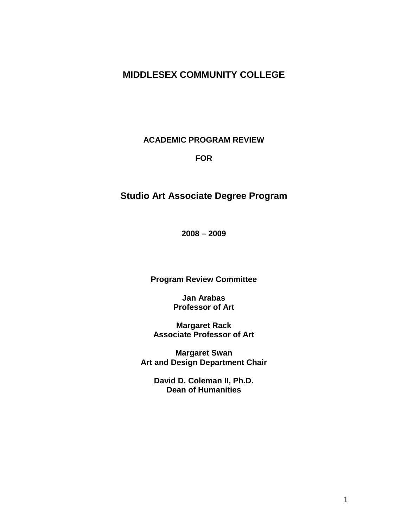# **MIDDLESEX COMMUNITY COLLEGE**

**ACADEMIC PROGRAM REVIEW**

#### **FOR**

# **Studio Art Associate Degree Program**

**2008 – 2009**

**Program Review Committee**

**Jan Arabas Professor of Art** 

**Margaret Rack Associate Professor of Art**

**Margaret Swan Art and Design Department Chair**

> **David D. Coleman II, Ph.D. Dean of Humanities**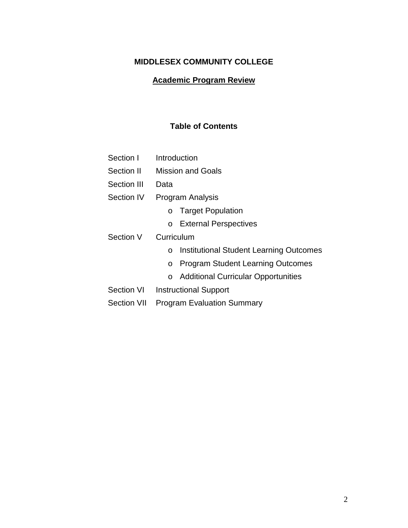# **MIDDLESEX COMMUNITY COLLEGE**

# **Academic Program Review**

# **Table of Contents**

| Section I          | Introduction                                          |  |  |  |  |
|--------------------|-------------------------------------------------------|--|--|--|--|
| Section II         | <b>Mission and Goals</b>                              |  |  |  |  |
| Section III        | Data                                                  |  |  |  |  |
| Section IV         | <b>Program Analysis</b>                               |  |  |  |  |
|                    | <b>Target Population</b><br>O                         |  |  |  |  |
|                    | <b>External Perspectives</b><br>$\circ$               |  |  |  |  |
| Section V          | Curriculum                                            |  |  |  |  |
|                    | <b>Institutional Student Learning Outcomes</b><br>O   |  |  |  |  |
|                    | <b>Program Student Learning Outcomes</b><br>O         |  |  |  |  |
|                    | <b>Additional Curricular Opportunities</b><br>$\circ$ |  |  |  |  |
| Section VI         | <b>Instructional Support</b>                          |  |  |  |  |
| <b>Section VII</b> | <b>Program Evaluation Summary</b>                     |  |  |  |  |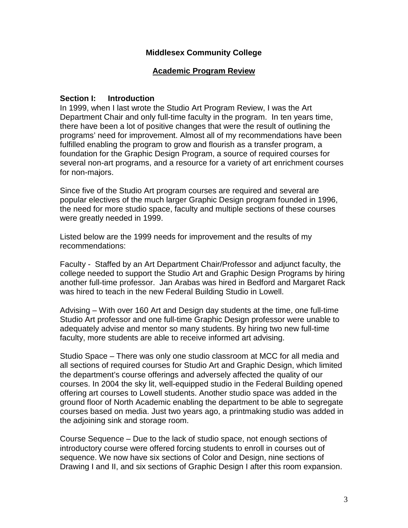### **Middlesex Community College**

### **Academic Program Review**

### **Section I: Introduction**

In 1999, when I last wrote the Studio Art Program Review, I was the Art Department Chair and only full-time faculty in the program. In ten years time, there have been a lot of positive changes that were the result of outlining the programs' need for improvement. Almost all of my recommendations have been fulfilled enabling the program to grow and flourish as a transfer program, a foundation for the Graphic Design Program, a source of required courses for several non-art programs, and a resource for a variety of art enrichment courses for non-majors.

Since five of the Studio Art program courses are required and several are popular electives of the much larger Graphic Design program founded in 1996, the need for more studio space, faculty and multiple sections of these courses were greatly needed in 1999.

Listed below are the 1999 needs for improvement and the results of my recommendations:

Faculty - Staffed by an Art Department Chair/Professor and adjunct faculty, the college needed to support the Studio Art and Graphic Design Programs by hiring another full-time professor. Jan Arabas was hired in Bedford and Margaret Rack was hired to teach in the new Federal Building Studio in Lowell.

Advising – With over 160 Art and Design day students at the time, one full-time Studio Art professor and one full-time Graphic Design professor were unable to adequately advise and mentor so many students. By hiring two new full-time faculty, more students are able to receive informed art advising.

Studio Space – There was only one studio classroom at MCC for all media and all sections of required courses for Studio Art and Graphic Design, which limited the department's course offerings and adversely affected the quality of our courses. In 2004 the sky lit, well-equipped studio in the Federal Building opened offering art courses to Lowell students. Another studio space was added in the ground floor of North Academic enabling the department to be able to segregate courses based on media. Just two years ago, a printmaking studio was added in the adjoining sink and storage room.

Course Sequence – Due to the lack of studio space, not enough sections of introductory course were offered forcing students to enroll in courses out of sequence. We now have six sections of Color and Design, nine sections of Drawing I and II, and six sections of Graphic Design I after this room expansion.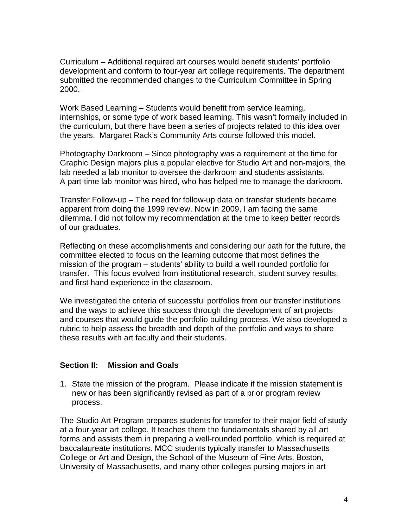Curriculum – Additional required art courses would benefit students' portfolio development and conform to four-year art college requirements. The department submitted the recommended changes to the Curriculum Committee in Spring 2000.

Work Based Learning – Students would benefit from service learning, internships, or some type of work based learning. This wasn't formally included in the curriculum, but there have been a series of projects related to this idea over the years. Margaret Rack's Community Arts course followed this model.

Photography Darkroom – Since photography was a requirement at the time for Graphic Design majors plus a popular elective for Studio Art and non-majors, the lab needed a lab monitor to oversee the darkroom and students assistants. A part-time lab monitor was hired, who has helped me to manage the darkroom.

Transfer Follow-up – The need for follow-up data on transfer students became apparent from doing the 1999 review. Now in 2009, I am facing the same dilemma. I did not follow my recommendation at the time to keep better records of our graduates.

Reflecting on these accomplishments and considering our path for the future, the committee elected to focus on the learning outcome that most defines the mission of the program – students' ability to build a well rounded portfolio for transfer. This focus evolved from institutional research, student survey results, and first hand experience in the classroom.

We investigated the criteria of successful portfolios from our transfer institutions and the ways to achieve this success through the development of art projects and courses that would guide the portfolio building process. We also developed a rubric to help assess the breadth and depth of the portfolio and ways to share these results with art faculty and their students.

### **Section II: Mission and Goals**

1. State the mission of the program. Please indicate if the mission statement is new or has been significantly revised as part of a prior program review process.

The Studio Art Program prepares students for transfer to their major field of study at a four-year art college. It teaches them the fundamentals shared by all art forms and assists them in preparing a well-rounded portfolio, which is required at baccalaureate institutions. MCC students typically transfer to Massachusetts College or Art and Design, the School of the Museum of Fine Arts, Boston, University of Massachusetts, and many other colleges pursing majors in art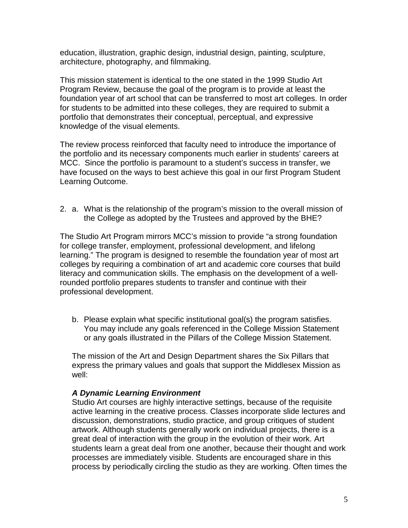education, illustration, graphic design, industrial design, painting, sculpture, architecture, photography, and filmmaking.

This mission statement is identical to the one stated in the 1999 Studio Art Program Review, because the goal of the program is to provide at least the foundation year of art school that can be transferred to most art colleges. In order for students to be admitted into these colleges, they are required to submit a portfolio that demonstrates their conceptual, perceptual, and expressive knowledge of the visual elements.

The review process reinforced that faculty need to introduce the importance of the portfolio and its necessary components much earlier in students' careers at MCC. Since the portfolio is paramount to a student's success in transfer, we have focused on the ways to best achieve this goal in our first Program Student Learning Outcome.

2. a. What is the relationship of the program's mission to the overall mission of the College as adopted by the Trustees and approved by the BHE?

The Studio Art Program mirrors MCC's mission to provide "a strong foundation for college transfer, employment, professional development, and lifelong learning." The program is designed to resemble the foundation year of most art colleges by requiring a combination of art and academic core courses that build literacy and communication skills. The emphasis on the development of a wellrounded portfolio prepares students to transfer and continue with their professional development.

b. Please explain what specific institutional goal(s) the program satisfies. You may include any goals referenced in the College Mission Statement or any goals illustrated in the Pillars of the College Mission Statement.

The mission of the Art and Design Department shares the Six Pillars that express the primary values and goals that support the Middlesex Mission as well:

### *A Dynamic Learning Environment*

Studio Art courses are highly interactive settings, because of the requisite active learning in the creative process. Classes incorporate slide lectures and discussion, demonstrations, studio practice, and group critiques of student artwork. Although students generally work on individual projects, there is a great deal of interaction with the group in the evolution of their work. Art students learn a great deal from one another, because their thought and work processes are immediately visible. Students are encouraged share in this process by periodically circling the studio as they are working. Often times the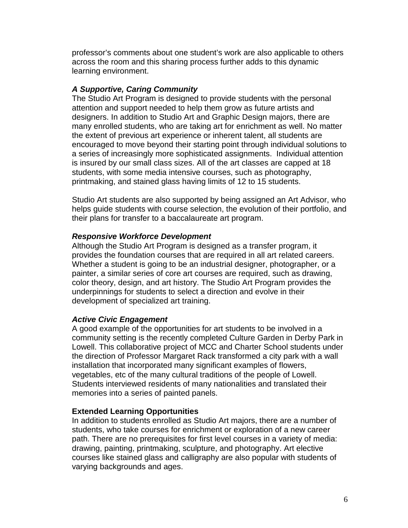professor's comments about one student's work are also applicable to others across the room and this sharing process further adds to this dynamic learning environment.

### *A Supportive, Caring Community*

The Studio Art Program is designed to provide students with the personal attention and support needed to help them grow as future artists and designers. In addition to Studio Art and Graphic Design majors, there are many enrolled students, who are taking art for enrichment as well. No matter the extent of previous art experience or inherent talent, all students are encouraged to move beyond their starting point through individual solutions to a series of increasingly more sophisticated assignments. Individual attention is insured by our small class sizes. All of the art classes are capped at 18 students, with some media intensive courses, such as photography, printmaking, and stained glass having limits of 12 to 15 students.

Studio Art students are also supported by being assigned an Art Advisor, who helps guide students with course selection, the evolution of their portfolio, and their plans for transfer to a baccalaureate art program.

### *Responsive Workforce Development*

Although the Studio Art Program is designed as a transfer program, it provides the foundation courses that are required in all art related careers. Whether a student is going to be an industrial designer, photographer, or a painter, a similar series of core art courses are required, such as drawing, color theory, design, and art history. The Studio Art Program provides the underpinnings for students to select a direction and evolve in their development of specialized art training.

### *Active Civic Engagement*

A good example of the opportunities for art students to be involved in a community setting is the recently completed Culture Garden in Derby Park in Lowell. This collaborative project of MCC and Charter School students under the direction of Professor Margaret Rack transformed a city park with a wall installation that incorporated many significant examples of flowers, vegetables, etc of the many cultural traditions of the people of Lowell. Students interviewed residents of many nationalities and translated their memories into a series of painted panels.

### **Extended Learning Opportunities**

In addition to students enrolled as Studio Art majors, there are a number of students, who take courses for enrichment or exploration of a new career path. There are no prerequisites for first level courses in a variety of media: drawing, painting, printmaking, sculpture, and photography. Art elective courses like stained glass and calligraphy are also popular with students of varying backgrounds and ages.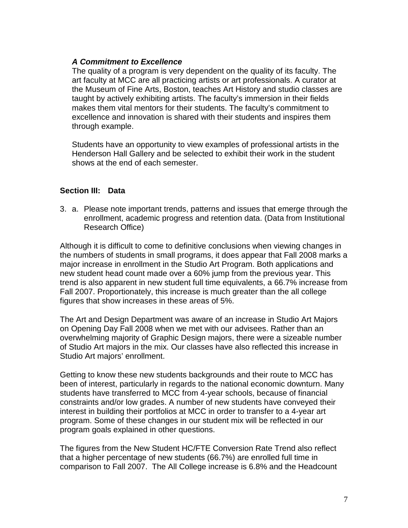### *A Commitment to Excellence*

The quality of a program is very dependent on the quality of its faculty. The art faculty at MCC are all practicing artists or art professionals. A curator at the Museum of Fine Arts, Boston, teaches Art History and studio classes are taught by actively exhibiting artists. The faculty's immersion in their fields makes them vital mentors for their students. The faculty's commitment to excellence and innovation is shared with their students and inspires them through example.

Students have an opportunity to view examples of professional artists in the Henderson Hall Gallery and be selected to exhibit their work in the student shows at the end of each semester.

### **Section III: Data**

3. a. Please note important trends, patterns and issues that emerge through the enrollment, academic progress and retention data. (Data from Institutional Research Office)

Although it is difficult to come to definitive conclusions when viewing changes in the numbers of students in small programs, it does appear that Fall 2008 marks a major increase in enrollment in the Studio Art Program. Both applications and new student head count made over a 60% jump from the previous year. This trend is also apparent in new student full time equivalents, a 66.7% increase from Fall 2007. Proportionately, this increase is much greater than the all college figures that show increases in these areas of 5%.

The Art and Design Department was aware of an increase in Studio Art Majors on Opening Day Fall 2008 when we met with our advisees. Rather than an overwhelming majority of Graphic Design majors, there were a sizeable number of Studio Art majors in the mix. Our classes have also reflected this increase in Studio Art majors' enrollment.

Getting to know these new students backgrounds and their route to MCC has been of interest, particularly in regards to the national economic downturn. Many students have transferred to MCC from 4-year schools, because of financial constraints and/or low grades. A number of new students have conveyed their interest in building their portfolios at MCC in order to transfer to a 4-year art program. Some of these changes in our student mix will be reflected in our program goals explained in other questions.

The figures from the New Student HC/FTE Conversion Rate Trend also reflect that a higher percentage of new students (66.7%) are enrolled full time in comparison to Fall 2007. The All College increase is 6.8% and the Headcount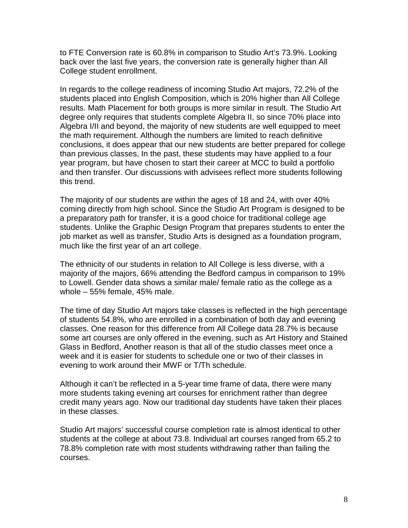to FTE Conversion rate is 60.8% in comparison to Studio Art's 73.9%. Looking back over the last five years, the conversion rate is generally higher than All College student enrollment.

In regards to the college readiness of incoming Studio Art majors, 72.2% of the students placed into English Composition, which is 20% higher than All College results. Math Placement for both groups is more similar in result. The Studio Art degree only requires that students complete Algebra II, so since 70% place into Algebra I/II and beyond, the majority of new students are well equipped to meet the math requirement. Although the numbers are limited to reach definitive conclusions, it does appear that our new students are better prepared for college than previous classes, In the past, these students may have applied to a four year program, but have chosen to start their career at MCC to build a portfolio and then transfer. Our discussions with advisees reflect more students following this trend.

The majority of our students are within the ages of 18 and 24, with over 40% coming directly from high school. Since the Studio Art Program is designed to be a preparatory path for transfer, it is a good choice for traditional college age students. Unlike the Graphic Design Program that prepares students to enter the job market as well as transfer, Studio Arts is designed as a foundation program, much like the first year of an art college.

The ethnicity of our students in relation to All College is less diverse, with a majority of the majors, 66% attending the Bedford campus in comparison to 19% to Lowell. Gender data shows a similar male/ female ratio as the college as a whole – 55% female, 45% male.

The time of day Studio Art majors take classes is reflected in the high percentage of students 54.8%, who are enrolled in a combination of both day and evening classes. One reason for this difference from All College data 28.7% is because some art courses are only offered in the evening, such as Art History and Stained Glass in Bedford, Another reason is that all of the studio classes meet once a week and it is easier for students to schedule one or two of their classes in evening to work around their MWF or T/Th schedule.

Although it can't be reflected in a 5-year time frame of data, there were many more students taking evening art courses for enrichment rather than degree credit many years ago. Now our traditional day students have taken their places in these classes.

Studio Art majors' successful course completion rate is almost identical to other students at the college at about 73.8. Individual art courses ranged from 65.2 to 78.8% completion rate with most students withdrawing rather than failing the courses.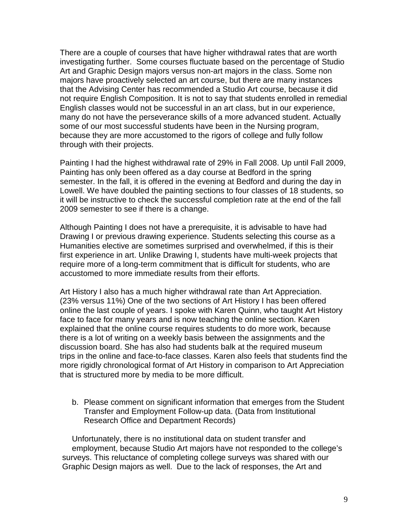There are a couple of courses that have higher withdrawal rates that are worth investigating further. Some courses fluctuate based on the percentage of Studio Art and Graphic Design majors versus non-art majors in the class. Some non majors have proactively selected an art course, but there are many instances that the Advising Center has recommended a Studio Art course, because it did not require English Composition. It is not to say that students enrolled in remedial English classes would not be successful in an art class, but in our experience, many do not have the perseverance skills of a more advanced student. Actually some of our most successful students have been in the Nursing program, because they are more accustomed to the rigors of college and fully follow through with their projects.

Painting I had the highest withdrawal rate of 29% in Fall 2008. Up until Fall 2009, Painting has only been offered as a day course at Bedford in the spring semester. In the fall, it is offered in the evening at Bedford and during the day in Lowell. We have doubled the painting sections to four classes of 18 students, so it will be instructive to check the successful completion rate at the end of the fall 2009 semester to see if there is a change.

Although Painting I does not have a prerequisite, it is advisable to have had Drawing I or previous drawing experience. Students selecting this course as a Humanities elective are sometimes surprised and overwhelmed, if this is their first experience in art. Unlike Drawing I, students have multi-week projects that require more of a long-term commitment that is difficult for students, who are accustomed to more immediate results from their efforts.

Art History I also has a much higher withdrawal rate than Art Appreciation. (23% versus 11%) One of the two sections of Art History I has been offered online the last couple of years. I spoke with Karen Quinn, who taught Art History face to face for many years and is now teaching the online section. Karen explained that the online course requires students to do more work, because there is a lot of writing on a weekly basis between the assignments and the discussion board. She has also had students balk at the required museum trips in the online and face-to-face classes. Karen also feels that students find the more rigidly chronological format of Art History in comparison to Art Appreciation that is structured more by media to be more difficult.

b. Please comment on significant information that emerges from the Student Transfer and Employment Follow-up data. (Data from Institutional Research Office and Department Records)

Unfortunately, there is no institutional data on student transfer and employment, because Studio Art majors have not responded to the college's surveys. This reluctance of completing college surveys was shared with our Graphic Design majors as well. Due to the lack of responses, the Art and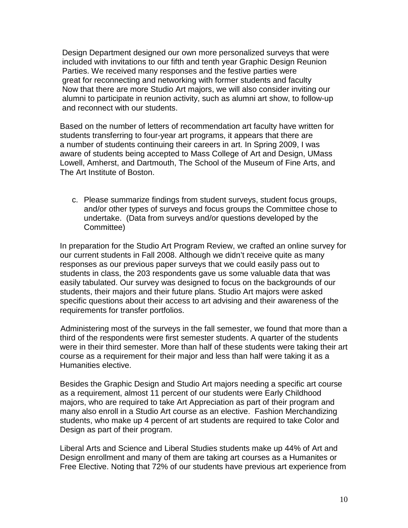Design Department designed our own more personalized surveys that were included with invitations to our fifth and tenth year Graphic Design Reunion Parties. We received many responses and the festive parties were great for reconnecting and networking with former students and faculty Now that there are more Studio Art majors, we will also consider inviting our alumni to participate in reunion activity, such as alumni art show, to follow-up and reconnect with our students.

Based on the number of letters of recommendation art faculty have written for students transferring to four-year art programs, it appears that there are a number of students continuing their careers in art. In Spring 2009, I was aware of students being accepted to Mass College of Art and Design, UMass Lowell, Amherst, and Dartmouth, The School of the Museum of Fine Arts, and The Art Institute of Boston.

c. Please summarize findings from student surveys, student focus groups, and/or other types of surveys and focus groups the Committee chose to undertake. (Data from surveys and/or questions developed by the Committee)

In preparation for the Studio Art Program Review, we crafted an online survey for our current students in Fall 2008. Although we didn't receive quite as many responses as our previous paper surveys that we could easily pass out to students in class, the 203 respondents gave us some valuable data that was easily tabulated. Our survey was designed to focus on the backgrounds of our students, their majors and their future plans. Studio Art majors were asked specific questions about their access to art advising and their awareness of the requirements for transfer portfolios.

 Administering most of the surveys in the fall semester, we found that more than a third of the respondents were first semester students. A quarter of the students were in their third semester. More than half of these students were taking their art course as a requirement for their major and less than half were taking it as a Humanities elective.

Besides the Graphic Design and Studio Art majors needing a specific art course as a requirement, almost 11 percent of our students were Early Childhood majors, who are required to take Art Appreciation as part of their program and many also enroll in a Studio Art course as an elective. Fashion Merchandizing students, who make up 4 percent of art students are required to take Color and Design as part of their program.

Liberal Arts and Science and Liberal Studies students make up 44% of Art and Design enrollment and many of them are taking art courses as a Humanites or Free Elective. Noting that 72% of our students have previous art experience from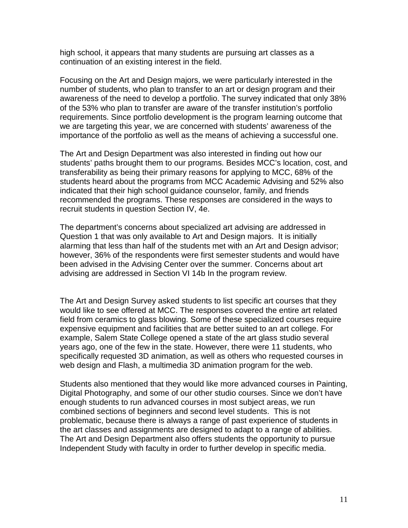high school, it appears that many students are pursuing art classes as a continuation of an existing interest in the field.

Focusing on the Art and Design majors, we were particularly interested in the number of students, who plan to transfer to an art or design program and their awareness of the need to develop a portfolio. The survey indicated that only 38% of the 53% who plan to transfer are aware of the transfer institution's portfolio requirements. Since portfolio development is the program learning outcome that we are targeting this year, we are concerned with students' awareness of the importance of the portfolio as well as the means of achieving a successful one.

The Art and Design Department was also interested in finding out how our students' paths brought them to our programs. Besides MCC's location, cost, and transferability as being their primary reasons for applying to MCC, 68% of the students heard about the programs from MCC Academic Advising and 52% also indicated that their high school guidance counselor, family, and friends recommended the programs. These responses are considered in the ways to recruit students in question Section IV, 4e.

The department's concerns about specialized art advising are addressed in Question 1 that was only available to Art and Design majors. It is initially alarming that less than half of the students met with an Art and Design advisor; however, 36% of the respondents were first semester students and would have been advised in the Advising Center over the summer. Concerns about art advising are addressed in Section VI 14b In the program review.

The Art and Design Survey asked students to list specific art courses that they would like to see offered at MCC. The responses covered the entire art related field from ceramics to glass blowing. Some of these specialized courses require expensive equipment and facilities that are better suited to an art college. For example, Salem State College opened a state of the art glass studio several years ago, one of the few in the state. However, there were 11 students, who specifically requested 3D animation, as well as others who requested courses in web design and Flash, a multimedia 3D animation program for the web.

Students also mentioned that they would like more advanced courses in Painting, Digital Photography, and some of our other studio courses. Since we don't have enough students to run advanced courses in most subject areas, we run combined sections of beginners and second level students. This is not problematic, because there is always a range of past experience of students in the art classes and assignments are designed to adapt to a range of abilities. The Art and Design Department also offers students the opportunity to pursue Independent Study with faculty in order to further develop in specific media.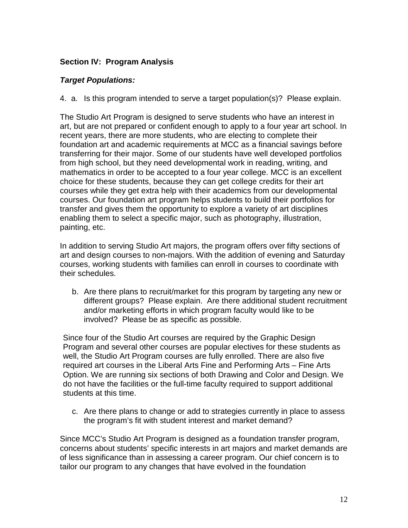### **Section IV: Program Analysis**

### *Target Populations:*

4. a. Is this program intended to serve a target population(s)? Please explain.

The Studio Art Program is designed to serve students who have an interest in art, but are not prepared or confident enough to apply to a four year art school. In recent years, there are more students, who are electing to complete their foundation art and academic requirements at MCC as a financial savings before transferring for their major. Some of our students have well developed portfolios from high school, but they need developmental work in reading, writing, and mathematics in order to be accepted to a four year college. MCC is an excellent choice for these students, because they can get college credits for their art courses while they get extra help with their academics from our developmental courses. Our foundation art program helps students to build their portfolios for transfer and gives them the opportunity to explore a variety of art disciplines enabling them to select a specific major, such as photography, illustration, painting, etc.

In addition to serving Studio Art majors, the program offers over fifty sections of art and design courses to non-majors. With the addition of evening and Saturday courses, working students with families can enroll in courses to coordinate with their schedules.

b. Are there plans to recruit/market for this program by targeting any new or different groups? Please explain. Are there additional student recruitment and/or marketing efforts in which program faculty would like to be involved? Please be as specific as possible.

Since four of the Studio Art courses are required by the Graphic Design Program and several other courses are popular electives for these students as well, the Studio Art Program courses are fully enrolled. There are also five required art courses in the Liberal Arts Fine and Performing Arts – Fine Arts Option. We are running six sections of both Drawing and Color and Design. We do not have the facilities or the full-time faculty required to support additional students at this time.

c. Are there plans to change or add to strategies currently in place to assess the program's fit with student interest and market demand?

Since MCC's Studio Art Program is designed as a foundation transfer program, concerns about students' specific interests in art majors and market demands are of less significance than in assessing a career program. Our chief concern is to tailor our program to any changes that have evolved in the foundation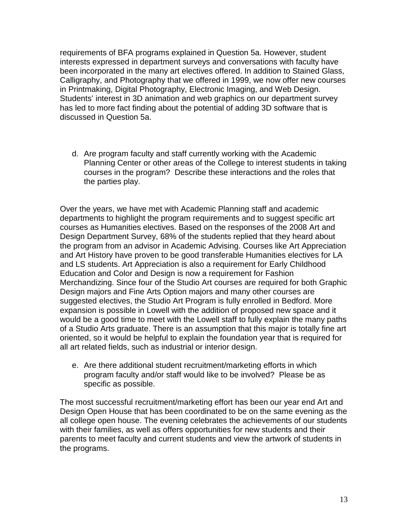requirements of BFA programs explained in Question 5a. However, student interests expressed in department surveys and conversations with faculty have been incorporated in the many art electives offered. In addition to Stained Glass, Calligraphy, and Photography that we offered in 1999, we now offer new courses in Printmaking, Digital Photography, Electronic Imaging, and Web Design. Students' interest in 3D animation and web graphics on our department survey has led to more fact finding about the potential of adding 3D software that is discussed in Question 5a.

d. Are program faculty and staff currently working with the Academic Planning Center or other areas of the College to interest students in taking courses in the program? Describe these interactions and the roles that the parties play.

Over the years, we have met with Academic Planning staff and academic departments to highlight the program requirements and to suggest specific art courses as Humanities electives. Based on the responses of the 2008 Art and Design Department Survey, 68% of the students replied that they heard about the program from an advisor in Academic Advising. Courses like Art Appreciation and Art History have proven to be good transferable Humanities electives for LA and LS students. Art Appreciation is also a requirement for Early Childhood Education and Color and Design is now a requirement for Fashion Merchandizing. Since four of the Studio Art courses are required for both Graphic Design majors and Fine Arts Option majors and many other courses are suggested electives, the Studio Art Program is fully enrolled in Bedford. More expansion is possible in Lowell with the addition of proposed new space and it would be a good time to meet with the Lowell staff to fully explain the many paths of a Studio Arts graduate. There is an assumption that this major is totally fine art oriented, so it would be helpful to explain the foundation year that is required for all art related fields, such as industrial or interior design.

e. Are there additional student recruitment/marketing efforts in which program faculty and/or staff would like to be involved? Please be as specific as possible.

The most successful recruitment/marketing effort has been our year end Art and Design Open House that has been coordinated to be on the same evening as the all college open house. The evening celebrates the achievements of our students with their families, as well as offers opportunities for new students and their parents to meet faculty and current students and view the artwork of students in the programs.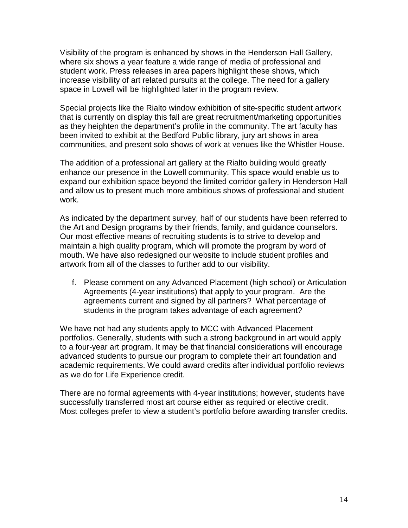Visibility of the program is enhanced by shows in the Henderson Hall Gallery, where six shows a year feature a wide range of media of professional and student work. Press releases in area papers highlight these shows, which increase visibility of art related pursuits at the college. The need for a gallery space in Lowell will be highlighted later in the program review.

Special projects like the Rialto window exhibition of site-specific student artwork that is currently on display this fall are great recruitment/marketing opportunities as they heighten the department's profile in the community. The art faculty has been invited to exhibit at the Bedford Public library, jury art shows in area communities, and present solo shows of work at venues like the Whistler House.

The addition of a professional art gallery at the Rialto building would greatly enhance our presence in the Lowell community. This space would enable us to expand our exhibition space beyond the limited corridor gallery in Henderson Hall and allow us to present much more ambitious shows of professional and student work.

As indicated by the department survey, half of our students have been referred to the Art and Design programs by their friends, family, and guidance counselors. Our most effective means of recruiting students is to strive to develop and maintain a high quality program, which will promote the program by word of mouth. We have also redesigned our website to include student profiles and artwork from all of the classes to further add to our visibility.

f. Please comment on any Advanced Placement (high school) or Articulation Agreements (4-year institutions) that apply to your program. Are the agreements current and signed by all partners? What percentage of students in the program takes advantage of each agreement?

We have not had any students apply to MCC with Advanced Placement portfolios. Generally, students with such a strong background in art would apply to a four-year art program. It may be that financial considerations will encourage advanced students to pursue our program to complete their art foundation and academic requirements. We could award credits after individual portfolio reviews as we do for Life Experience credit.

There are no formal agreements with 4-year institutions; however, students have successfully transferred most art course either as required or elective credit. Most colleges prefer to view a student's portfolio before awarding transfer credits.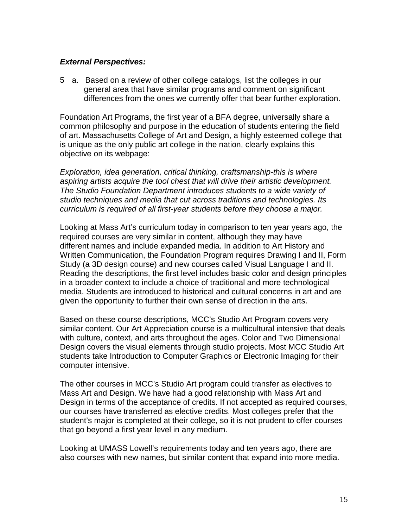### *External Perspectives:*

5 a. Based on a review of other college catalogs, list the colleges in our general area that have similar programs and comment on significant differences from the ones we currently offer that bear further exploration.

Foundation Art Programs, the first year of a BFA degree, universally share a common philosophy and purpose in the education of students entering the field of art. Massachusetts College of Art and Design, a highly esteemed college that is unique as the only public art college in the nation, clearly explains this objective on its webpage:

*Exploration, idea generation, critical thinking, craftsmanship-this is where aspiring artists acquire the tool chest that will drive their artistic development. The Studio Foundation Department introduces students to a wide variety of studio techniques and media that cut across traditions and technologies. Its curriculum is required of all first-year students before they choose a major.* 

Looking at Mass Art's curriculum today in comparison to ten year years ago, the required courses are very similar in content, although they may have different names and include expanded media. In addition to Art History and Written Communication, the Foundation Program requires Drawing I and II, Form Study (a 3D design course) and new courses called Visual Language I and II. Reading the descriptions, the first level includes basic color and design principles in a broader context to include a choice of traditional and more technological media. Students are introduced to historical and cultural concerns in art and are given the opportunity to further their own sense of direction in the arts.

Based on these course descriptions, MCC's Studio Art Program covers very similar content. Our Art Appreciation course is a multicultural intensive that deals with culture, context, and arts throughout the ages. Color and Two Dimensional Design covers the visual elements through studio projects. Most MCC Studio Art students take Introduction to Computer Graphics or Electronic Imaging for their computer intensive.

The other courses in MCC's Studio Art program could transfer as electives to Mass Art and Design. We have had a good relationship with Mass Art and Design in terms of the acceptance of credits. If not accepted as required courses, our courses have transferred as elective credits. Most colleges prefer that the student's major is completed at their college, so it is not prudent to offer courses that go beyond a first year level in any medium.

Looking at UMASS Lowell's requirements today and ten years ago, there are also courses with new names, but similar content that expand into more media.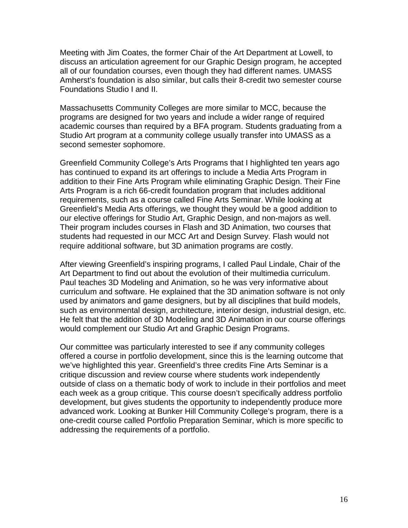Meeting with Jim Coates, the former Chair of the Art Department at Lowell, to discuss an articulation agreement for our Graphic Design program, he accepted all of our foundation courses, even though they had different names. UMASS Amherst's foundation is also similar, but calls their 8-credit two semester course Foundations Studio I and II.

Massachusetts Community Colleges are more similar to MCC, because the programs are designed for two years and include a wider range of required academic courses than required by a BFA program. Students graduating from a Studio Art program at a community college usually transfer into UMASS as a second semester sophomore.

Greenfield Community College's Arts Programs that I highlighted ten years ago has continued to expand its art offerings to include a Media Arts Program in addition to their Fine Arts Program while eliminating Graphic Design. Their Fine Arts Program is a rich 66-credit foundation program that includes additional requirements, such as a course called Fine Arts Seminar. While looking at Greenfield's Media Arts offerings, we thought they would be a good addition to our elective offerings for Studio Art, Graphic Design, and non-majors as well. Their program includes courses in Flash and 3D Animation, two courses that students had requested in our MCC Art and Design Survey. Flash would not require additional software, but 3D animation programs are costly.

After viewing Greenfield's inspiring programs, I called Paul Lindale, Chair of the Art Department to find out about the evolution of their multimedia curriculum. Paul teaches 3D Modeling and Animation, so he was very informative about curriculum and software. He explained that the 3D animation software is not only used by animators and game designers, but by all disciplines that build models, such as environmental design, architecture, interior design, industrial design, etc. He felt that the addition of 3D Modeling and 3D Animation in our course offerings would complement our Studio Art and Graphic Design Programs.

Our committee was particularly interested to see if any community colleges offered a course in portfolio development, since this is the learning outcome that we've highlighted this year. Greenfield's three credits Fine Arts Seminar is a critique discussion and review course where students work independently outside of class on a thematic body of work to include in their portfolios and meet each week as a group critique. This course doesn't specifically address portfolio development, but gives students the opportunity to independently produce more advanced work. Looking at Bunker Hill Community College's program, there is a one-credit course called Portfolio Preparation Seminar, which is more specific to addressing the requirements of a portfolio.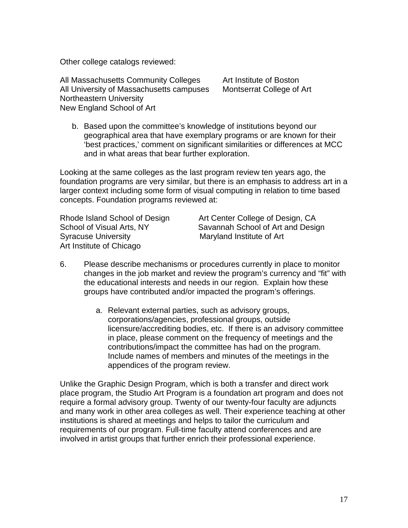Other college catalogs reviewed:

All Massachusetts Community Colleges Art Institute of Boston All University of Massachusetts campuses Montserrat College of Art Northeastern University New England School of Art

b. Based upon the committee's knowledge of institutions beyond our geographical area that have exemplary programs or are known for their 'best practices,' comment on significant similarities or differences at MCC and in what areas that bear further exploration.

Looking at the same colleges as the last program review ten years ago, the foundation programs are very similar, but there is an emphasis to address art in a larger context including some form of visual computing in relation to time based concepts. Foundation programs reviewed at:

Syracuse University **Maryland Institute of Art** Art Institute of Chicago

Rhode Island School of Design Art Center College of Design, CA School of Visual Arts, NY Savannah School of Art and Design

- 6. Please describe mechanisms or procedures currently in place to monitor changes in the job market and review the program's currency and "fit" with the educational interests and needs in our region. Explain how these groups have contributed and/or impacted the program's offerings.
	- a. Relevant external parties, such as advisory groups, corporations/agencies, professional groups, outside licensure/accrediting bodies, etc. If there is an advisory committee in place, please comment on the frequency of meetings and the contributions/impact the committee has had on the program. Include names of members and minutes of the meetings in the appendices of the program review.

Unlike the Graphic Design Program, which is both a transfer and direct work place program, the Studio Art Program is a foundation art program and does not require a formal advisory group. Twenty of our twenty-four faculty are adjuncts and many work in other area colleges as well. Their experience teaching at other institutions is shared at meetings and helps to tailor the curriculum and requirements of our program. Full-time faculty attend conferences and are involved in artist groups that further enrich their professional experience.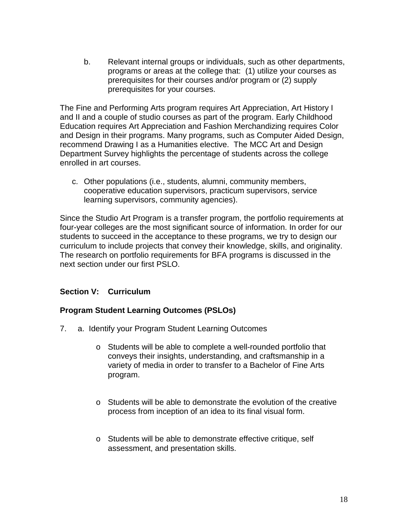b. Relevant internal groups or individuals, such as other departments, programs or areas at the college that: (1) utilize your courses as prerequisites for their courses and/or program or (2) supply prerequisites for your courses.

The Fine and Performing Arts program requires Art Appreciation, Art History I and II and a couple of studio courses as part of the program. Early Childhood Education requires Art Appreciation and Fashion Merchandizing requires Color and Design in their programs. Many programs, such as Computer Aided Design, recommend Drawing I as a Humanities elective. The MCC Art and Design Department Survey highlights the percentage of students across the college enrolled in art courses.

c. Other populations (i.e., students, alumni, community members, cooperative education supervisors, practicum supervisors, service learning supervisors, community agencies).

Since the Studio Art Program is a transfer program, the portfolio requirements at four-year colleges are the most significant source of information. In order for our students to succeed in the acceptance to these programs, we try to design our curriculum to include projects that convey their knowledge, skills, and originality. The research on portfolio requirements for BFA programs is discussed in the next section under our first PSLO.

### **Section V: Curriculum**

### **Program Student Learning Outcomes (PSLOs)**

- 7. a. Identify your Program Student Learning Outcomes
	- o Students will be able to complete a well-rounded portfolio that conveys their insights, understanding, and craftsmanship in a variety of media in order to transfer to a Bachelor of Fine Arts program.
	- o Students will be able to demonstrate the evolution of the creative process from inception of an idea to its final visual form.
	- o Students will be able to demonstrate effective critique, self assessment, and presentation skills.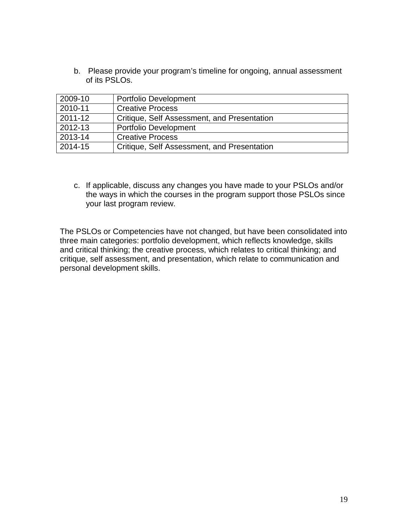b. Please provide your program's timeline for ongoing, annual assessment of its PSLOs.

| 2009-10 | <b>Portfolio Development</b>                       |
|---------|----------------------------------------------------|
| 2010-11 | <b>Creative Process</b>                            |
| 2011-12 | Critique, Self Assessment, and Presentation        |
| 2012-13 | <b>Portfolio Development</b>                       |
| 2013-14 | <b>Creative Process</b>                            |
| 2014-15 | <b>Critique, Self Assessment, and Presentation</b> |

c. If applicable, discuss any changes you have made to your PSLOs and/or the ways in which the courses in the program support those PSLOs since your last program review.

The PSLOs or Competencies have not changed, but have been consolidated into three main categories: portfolio development, which reflects knowledge, skills and critical thinking; the creative process, which relates to critical thinking; and critique, self assessment, and presentation, which relate to communication and personal development skills.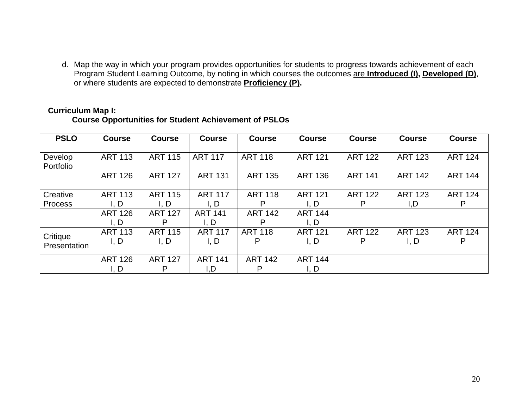d. Map the way in which your program provides opportunities for students to progress towards achievement of each Program Student Learning Outcome, by noting in which courses the outcomes are **Introduced (I), Developed (D)**, or where students are expected to demonstrate **Proficiency (P).**

| <b>PSLO</b>    | <b>Course</b>  | <b>Course</b>  | <b>Course</b>  | <b>Course</b>  | <b>Course</b>  | <b>Course</b>  | <b>Course</b>  | <b>Course</b>  |
|----------------|----------------|----------------|----------------|----------------|----------------|----------------|----------------|----------------|
|                |                |                |                |                |                |                |                |                |
| Develop        | <b>ART 113</b> | <b>ART 115</b> | <b>ART 117</b> | <b>ART 118</b> | <b>ART 121</b> | <b>ART 122</b> | <b>ART 123</b> | <b>ART 124</b> |
| Portfolio      |                |                |                |                |                |                |                |                |
|                | <b>ART 126</b> | <b>ART 127</b> | <b>ART 131</b> | <b>ART 135</b> | <b>ART 136</b> | <b>ART 141</b> | <b>ART 142</b> | <b>ART 144</b> |
|                |                |                |                |                |                |                |                |                |
| Creative       | <b>ART 113</b> | <b>ART 115</b> | <b>ART 117</b> | <b>ART 118</b> | <b>ART 121</b> | <b>ART 122</b> | <b>ART 123</b> | <b>ART 124</b> |
| <b>Process</b> | I. D           | I. D           | I, D           |                | I. D           | P              | I,D            | P              |
|                | <b>ART 126</b> | <b>ART 127</b> | <b>ART 141</b> | <b>ART 142</b> | <b>ART 144</b> |                |                |                |
|                | l. D           | P              | l, D           | D              | l. D           |                |                |                |
|                | <b>ART 113</b> | <b>ART 115</b> | <b>ART 117</b> | <b>ART 118</b> | <b>ART 121</b> | <b>ART 122</b> | <b>ART 123</b> | <b>ART 124</b> |
| Critique       | l, D           | I, D           | I, D           | P              | I. D           | P              | I, D           | P              |
| Presentation   |                |                |                |                |                |                |                |                |
|                | <b>ART 126</b> | <b>ART 127</b> | <b>ART 141</b> | <b>ART 142</b> | <b>ART 144</b> |                |                |                |
|                | I, D           | P              | I,D            | P              | l, D           |                |                |                |

#### **Curriculum Map I: Course Opportunities for Student Achievement of PSLOs**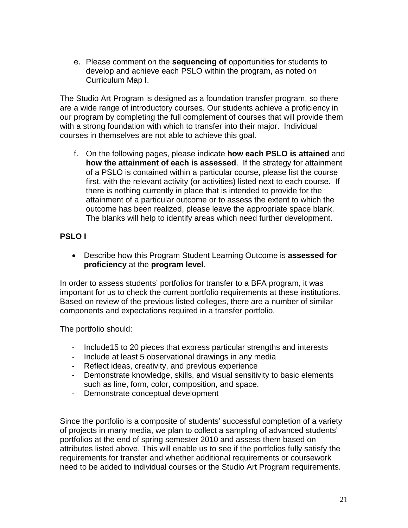e. Please comment on the **sequencing of** opportunities for students to develop and achieve each PSLO within the program, as noted on Curriculum Map I.

The Studio Art Program is designed as a foundation transfer program, so there are a wide range of introductory courses. Our students achieve a proficiency in our program by completing the full complement of courses that will provide them with a strong foundation with which to transfer into their major. Individual courses in themselves are not able to achieve this goal.

f. On the following pages, please indicate **how each PSLO is attained** and **how the attainment of each is assessed**. If the strategy for attainment of a PSLO is contained within a particular course, please list the course first, with the relevant activity (or activities) listed next to each course. If there is nothing currently in place that is intended to provide for the attainment of a particular outcome or to assess the extent to which the outcome has been realized, please leave the appropriate space blank. The blanks will help to identify areas which need further development.

# **PSLO I**

• Describe how this Program Student Learning Outcome is **assessed for proficiency** at the **program level**.

In order to assess students' portfolios for transfer to a BFA program, it was important for us to check the current portfolio requirements at these institutions. Based on review of the previous listed colleges, there are a number of similar components and expectations required in a transfer portfolio.

The portfolio should:

- Include15 to 20 pieces that express particular strengths and interests
- Include at least 5 observational drawings in any media
- Reflect ideas, creativity, and previous experience
- Demonstrate knowledge, skills, and visual sensitivity to basic elements such as line, form, color, composition, and space.
- Demonstrate conceptual development

Since the portfolio is a composite of students' successful completion of a variety of projects in many media, we plan to collect a sampling of advanced students' portfolios at the end of spring semester 2010 and assess them based on attributes listed above. This will enable us to see if the portfolios fully satisfy the requirements for transfer and whether additional requirements or coursework need to be added to individual courses or the Studio Art Program requirements.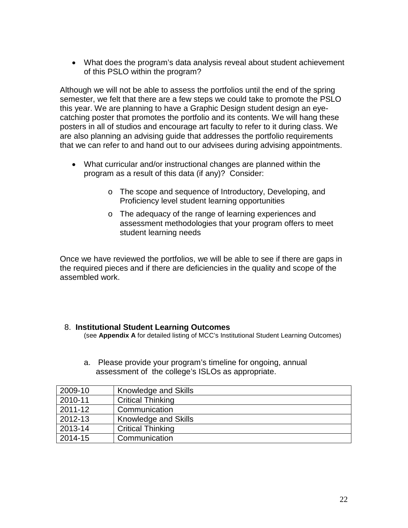• What does the program's data analysis reveal about student achievement of this PSLO within the program?

Although we will not be able to assess the portfolios until the end of the spring semester, we felt that there are a few steps we could take to promote the PSLO this year. We are planning to have a Graphic Design student design an eyecatching poster that promotes the portfolio and its contents. We will hang these posters in all of studios and encourage art faculty to refer to it during class. We are also planning an advising guide that addresses the portfolio requirements that we can refer to and hand out to our advisees during advising appointments.

- What curricular and/or instructional changes are planned within the program as a result of this data (if any)? Consider:
	- o The scope and sequence of Introductory, Developing, and Proficiency level student learning opportunities
	- o The adequacy of the range of learning experiences and assessment methodologies that your program offers to meet student learning needs

Once we have reviewed the portfolios, we will be able to see if there are gaps in the required pieces and if there are deficiencies in the quality and scope of the assembled work.

# 8. **Institutional Student Learning Outcomes**

(see **Appendix A** for detailed listing of MCC's Institutional Student Learning Outcomes)

| 2009-10 | Knowledge and Skills     |
|---------|--------------------------|
| 2010-11 | <b>Critical Thinking</b> |
| 2011-12 | Communication            |
| 2012-13 | Knowledge and Skills     |
| 2013-14 | <b>Critical Thinking</b> |
| 2014-15 | Communication            |

a. Please provide your program's timeline for ongoing, annual assessment of the college's ISLOs as appropriate.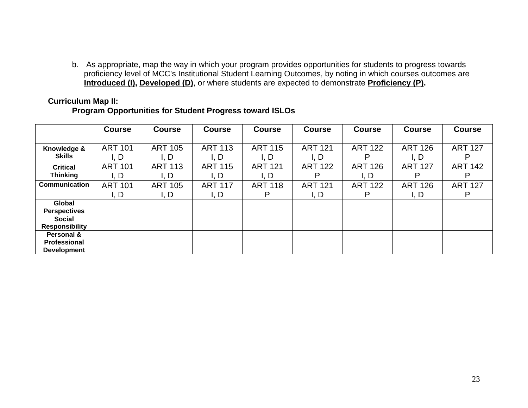b. As appropriate, map the way in which your program provides opportunities for students to progress towards proficiency level of MCC's Institutional Student Learning Outcomes, by noting in which courses outcomes are **Introduced (I), Developed (D)**, or where students are expected to demonstrate **Proficiency (P).**

## **Curriculum Map II:**

### **Program Opportunities for Student Progress toward ISLOs**

|                       | <b>Course</b>  | <b>Course</b>  | <b>Course</b>  | <b>Course</b>  | <b>Course</b>  | <b>Course</b>  | <b>Course</b>  | <b>Course</b>  |
|-----------------------|----------------|----------------|----------------|----------------|----------------|----------------|----------------|----------------|
|                       |                |                |                |                |                |                |                |                |
| Knowledge &           | <b>ART 101</b> | <b>ART 105</b> | <b>ART 113</b> | <b>ART 115</b> | <b>ART 121</b> | <b>ART 122</b> | <b>ART 126</b> | <b>ART 127</b> |
| <b>Skills</b>         | l, D           | l, D           | I, D           | I, D           | I, D           |                | I, D           | P              |
| <b>Critical</b>       | <b>ART 101</b> | <b>ART 113</b> | <b>ART 115</b> | <b>ART 121</b> | <b>ART 122</b> | <b>ART 126</b> | <b>ART 127</b> | <b>ART 142</b> |
| <b>Thinking</b>       | I, D           | l. D           | l, D           | l, D           | Р              | I, D           | P              | P              |
| <b>Communication</b>  | <b>ART 101</b> | <b>ART 105</b> | <b>ART 117</b> | <b>ART 118</b> | <b>ART 121</b> | <b>ART 122</b> | <b>ART 126</b> | <b>ART 127</b> |
|                       | l, D           | I, D           | l, D           | P              | I, D           | P              | I, D           | P              |
| Global                |                |                |                |                |                |                |                |                |
| <b>Perspectives</b>   |                |                |                |                |                |                |                |                |
| <b>Social</b>         |                |                |                |                |                |                |                |                |
| <b>Responsibility</b> |                |                |                |                |                |                |                |                |
| Personal &            |                |                |                |                |                |                |                |                |
| Professional          |                |                |                |                |                |                |                |                |
| <b>Development</b>    |                |                |                |                |                |                |                |                |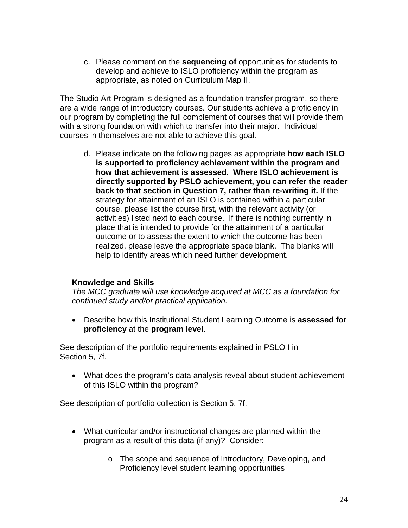c. Please comment on the **sequencing of** opportunities for students to develop and achieve to ISLO proficiency within the program as appropriate, as noted on Curriculum Map II.

The Studio Art Program is designed as a foundation transfer program, so there are a wide range of introductory courses. Our students achieve a proficiency in our program by completing the full complement of courses that will provide them with a strong foundation with which to transfer into their major. Individual courses in themselves are not able to achieve this goal.

d. Please indicate on the following pages as appropriate **how each ISLO is supported to proficiency achievement within the program and how that achievement is assessed. Where ISLO achievement is directly supported by PSLO achievement, you can refer the reader back to that section in Question 7, rather than re-writing it.** If the strategy for attainment of an ISLO is contained within a particular course, please list the course first, with the relevant activity (or activities) listed next to each course. If there is nothing currently in place that is intended to provide for the attainment of a particular outcome or to assess the extent to which the outcome has been realized, please leave the appropriate space blank. The blanks will help to identify areas which need further development.

### **Knowledge and Skills**

*The MCC graduate will use knowledge acquired at MCC as a foundation for continued study and/or practical application.*

• Describe how this Institutional Student Learning Outcome is **assessed for proficiency** at the **program level**.

See description of the portfolio requirements explained in PSLO I in Section 5, 7f.

• What does the program's data analysis reveal about student achievement of this ISLO within the program?

See description of portfolio collection is Section 5, 7f.

- What curricular and/or instructional changes are planned within the program as a result of this data (if any)? Consider:
	- o The scope and sequence of Introductory, Developing, and Proficiency level student learning opportunities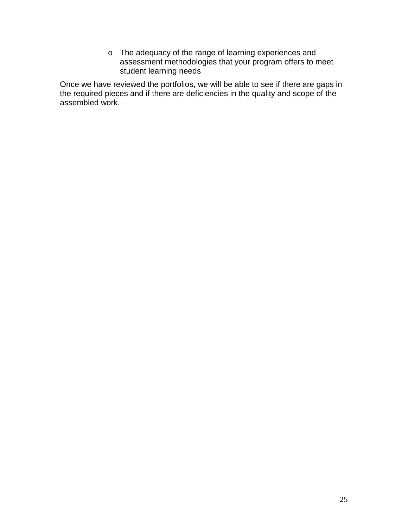o The adequacy of the range of learning experiences and assessment methodologies that your program offers to meet student learning needs

Once we have reviewed the portfolios, we will be able to see if there are gaps in the required pieces and if there are deficiencies in the quality and scope of the assembled work.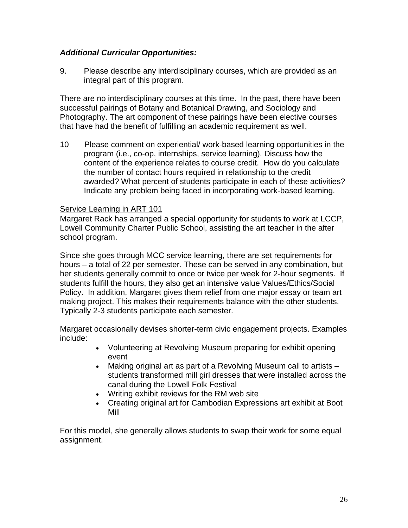### *Additional Curricular Opportunities:*

9. Please describe any interdisciplinary courses, which are provided as an integral part of this program.

There are no interdisciplinary courses at this time. In the past, there have been successful pairings of Botany and Botanical Drawing, and Sociology and Photography. The art component of these pairings have been elective courses that have had the benefit of fulfilling an academic requirement as well.

10 Please comment on experiential/ work-based learning opportunities in the program (i.e., co-op, internships, service learning). Discuss how the content of the experience relates to course credit. How do you calculate the number of contact hours required in relationship to the credit awarded? What percent of students participate in each of these activities? Indicate any problem being faced in incorporating work-based learning.

### Service Learning in ART 101

Margaret Rack has arranged a special opportunity for students to work at LCCP, Lowell Community Charter Public School, assisting the art teacher in the after school program.

Since she goes through MCC service learning, there are set requirements for hours – a total of 22 per semester. These can be served in any combination, but her students generally commit to once or twice per week for 2-hour segments. If students fulfill the hours, they also get an intensive value Values/Ethics/Social Policy. In addition, Margaret gives them relief from one major essay or team art making project. This makes their requirements balance with the other students. Typically 2-3 students participate each semester.

Margaret occasionally devises shorter-term civic engagement projects. Examples include:

- Volunteering at Revolving Museum preparing for exhibit opening event
- Making original art as part of a Revolving Museum call to artists students transformed mill girl dresses that were installed across the canal during the Lowell Folk Festival
- Writing exhibit reviews for the RM web site
- Creating original art for Cambodian Expressions art exhibit at Boot Mill

For this model, she generally allows students to swap their work for some equal assignment.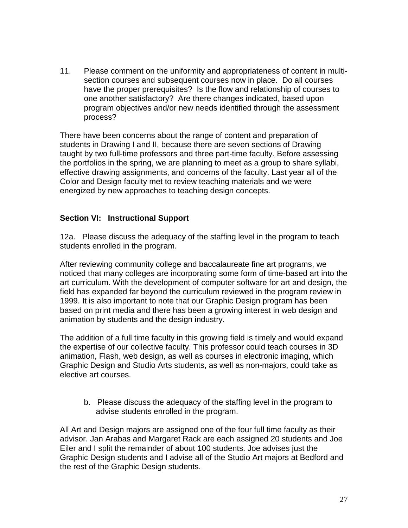11. Please comment on the uniformity and appropriateness of content in multisection courses and subsequent courses now in place. Do all courses have the proper prerequisites? Is the flow and relationship of courses to one another satisfactory? Are there changes indicated, based upon program objectives and/or new needs identified through the assessment process?

There have been concerns about the range of content and preparation of students in Drawing I and II, because there are seven sections of Drawing taught by two full-time professors and three part-time faculty. Before assessing the portfolios in the spring, we are planning to meet as a group to share syllabi, effective drawing assignments, and concerns of the faculty. Last year all of the Color and Design faculty met to review teaching materials and we were energized by new approaches to teaching design concepts.

### **Section VI: Instructional Support**

12a. Please discuss the adequacy of the staffing level in the program to teach students enrolled in the program.

After reviewing community college and baccalaureate fine art programs, we noticed that many colleges are incorporating some form of time-based art into the art curriculum. With the development of computer software for art and design, the field has expanded far beyond the curriculum reviewed in the program review in 1999. It is also important to note that our Graphic Design program has been based on print media and there has been a growing interest in web design and animation by students and the design industry.

The addition of a full time faculty in this growing field is timely and would expand the expertise of our collective faculty. This professor could teach courses in 3D animation, Flash, web design, as well as courses in electronic imaging, which Graphic Design and Studio Arts students, as well as non-majors, could take as elective art courses.

b. Please discuss the adequacy of the staffing level in the program to advise students enrolled in the program.

All Art and Design majors are assigned one of the four full time faculty as their advisor. Jan Arabas and Margaret Rack are each assigned 20 students and Joe Eiler and I split the remainder of about 100 students. Joe advises just the Graphic Design students and I advise all of the Studio Art majors at Bedford and the rest of the Graphic Design students.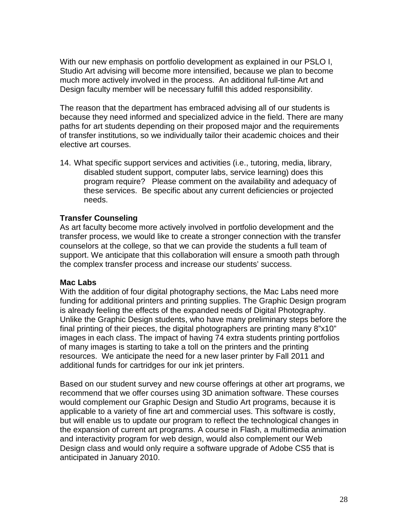With our new emphasis on portfolio development as explained in our PSLO I, Studio Art advising will become more intensified, because we plan to become much more actively involved in the process. An additional full-time Art and Design faculty member will be necessary fulfill this added responsibility.

The reason that the department has embraced advising all of our students is because they need informed and specialized advice in the field. There are many paths for art students depending on their proposed major and the requirements of transfer institutions, so we individually tailor their academic choices and their elective art courses.

14. What specific support services and activities (i.e., tutoring, media, library, disabled student support, computer labs, service learning) does this program require? Please comment on the availability and adequacy of these services. Be specific about any current deficiencies or projected needs.

### **Transfer Counseling**

As art faculty become more actively involved in portfolio development and the transfer process, we would like to create a stronger connection with the transfer counselors at the college, so that we can provide the students a full team of support. We anticipate that this collaboration will ensure a smooth path through the complex transfer process and increase our students' success.

### **Mac Labs**

With the addition of four digital photography sections, the Mac Labs need more funding for additional printers and printing supplies. The Graphic Design program is already feeling the effects of the expanded needs of Digital Photography. Unlike the Graphic Design students, who have many preliminary steps before the final printing of their pieces, the digital photographers are printing many 8"x10" images in each class. The impact of having 74 extra students printing portfolios of many images is starting to take a toll on the printers and the printing resources. We anticipate the need for a new laser printer by Fall 2011 and additional funds for cartridges for our ink jet printers.

Based on our student survey and new course offerings at other art programs, we recommend that we offer courses using 3D animation software. These courses would complement our Graphic Design and Studio Art programs, because it is applicable to a variety of fine art and commercial uses. This software is costly, but will enable us to update our program to reflect the technological changes in the expansion of current art programs. A course in Flash, a multimedia animation and interactivity program for web design, would also complement our Web Design class and would only require a software upgrade of Adobe CS5 that is anticipated in January 2010.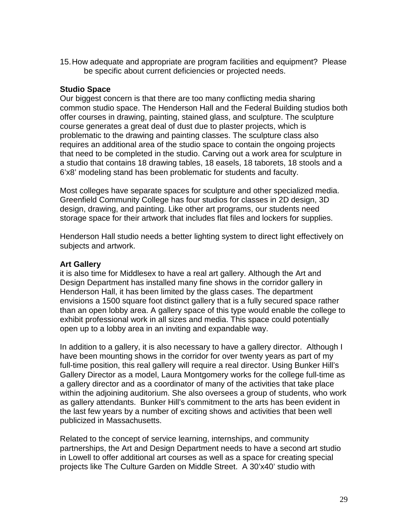15.How adequate and appropriate are program facilities and equipment? Please be specific about current deficiencies or projected needs.

### **Studio Space**

Our biggest concern is that there are too many conflicting media sharing common studio space. The Henderson Hall and the Federal Building studios both offer courses in drawing, painting, stained glass, and sculpture. The sculpture course generates a great deal of dust due to plaster projects, which is problematic to the drawing and painting classes. The sculpture class also requires an additional area of the studio space to contain the ongoing projects that need to be completed in the studio. Carving out a work area for sculpture in a studio that contains 18 drawing tables, 18 easels, 18 taborets, 18 stools and a 6'x8' modeling stand has been problematic for students and faculty.

Most colleges have separate spaces for sculpture and other specialized media. Greenfield Community College has four studios for classes in 2D design, 3D design, drawing, and painting. Like other art programs, our students need storage space for their artwork that includes flat files and lockers for supplies.

Henderson Hall studio needs a better lighting system to direct light effectively on subjects and artwork.

### **Art Gallery**

it is also time for Middlesex to have a real art gallery. Although the Art and Design Department has installed many fine shows in the corridor gallery in Henderson Hall, it has been limited by the glass cases. The department envisions a 1500 square foot distinct gallery that is a fully secured space rather than an open lobby area. A gallery space of this type would enable the college to exhibit professional work in all sizes and media. This space could potentially open up to a lobby area in an inviting and expandable way.

In addition to a gallery, it is also necessary to have a gallery director. Although I have been mounting shows in the corridor for over twenty years as part of my full-time position, this real gallery will require a real director. Using Bunker Hill's Gallery Director as a model, Laura Montgomery works for the college full-time as a gallery director and as a coordinator of many of the activities that take place within the adjoining auditorium. She also oversees a group of students, who work as gallery attendants. Bunker Hill's commitment to the arts has been evident in the last few years by a number of exciting shows and activities that been well publicized in Massachusetts.

Related to the concept of service learning, internships, and community partnerships, the Art and Design Department needs to have a second art studio in Lowell to offer additional art courses as well as a space for creating special projects like The Culture Garden on Middle Street. A 30'x40' studio with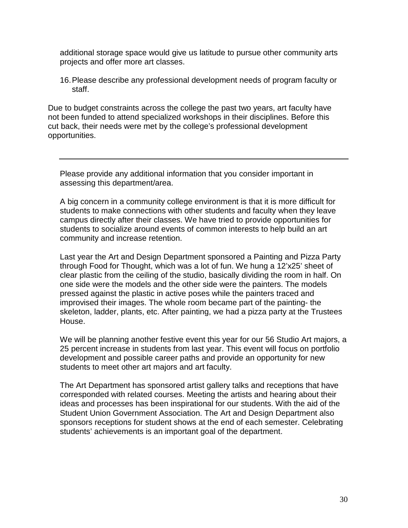additional storage space would give us latitude to pursue other community arts projects and offer more art classes.

16.Please describe any professional development needs of program faculty or staff.

Due to budget constraints across the college the past two years, art faculty have not been funded to attend specialized workshops in their disciplines. Before this cut back, their needs were met by the college's professional development opportunities.

Please provide any additional information that you consider important in assessing this department/area.

A big concern in a community college environment is that it is more difficult for students to make connections with other students and faculty when they leave campus directly after their classes. We have tried to provide opportunities for students to socialize around events of common interests to help build an art community and increase retention.

Last year the Art and Design Department sponsored a Painting and Pizza Party through Food for Thought, which was a lot of fun. We hung a 12'x25' sheet of clear plastic from the ceiling of the studio, basically dividing the room in half. On one side were the models and the other side were the painters. The models pressed against the plastic in active poses while the painters traced and improvised their images. The whole room became part of the painting- the skeleton, ladder, plants, etc. After painting, we had a pizza party at the Trustees House.

We will be planning another festive event this year for our 56 Studio Art majors, a 25 percent increase in students from last year. This event will focus on portfolio development and possible career paths and provide an opportunity for new students to meet other art majors and art faculty.

The Art Department has sponsored artist gallery talks and receptions that have corresponded with related courses. Meeting the artists and hearing about their ideas and processes has been inspirational for our students. With the aid of the Student Union Government Association. The Art and Design Department also sponsors receptions for student shows at the end of each semester. Celebrating students' achievements is an important goal of the department.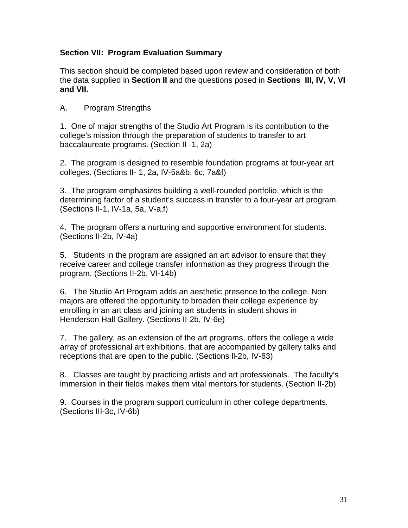### **Section VII: Program Evaluation Summary**

This section should be completed based upon review and consideration of both the data supplied in **Section II** and the questions posed in **Sections III, IV, V, VI and VII.**

A. Program Strengths

1. One of major strengths of the Studio Art Program is its contribution to the college's mission through the preparation of students to transfer to art baccalaureate programs. (Section II -1, 2a)

2. The program is designed to resemble foundation programs at four-year art colleges. (Sections II- 1, 2a, IV-5a&b, 6c, 7a&f)

3. The program emphasizes building a well-rounded portfolio, which is the determining factor of a student's success in transfer to a four-year art program. (Sections II-1, IV-1a, 5a, V-a,f)

4. The program offers a nurturing and supportive environment for students. (Sections II-2b, IV-4a)

5. Students in the program are assigned an art advisor to ensure that they receive career and college transfer information as they progress through the program. (Sections II-2b, VI-14b)

6. The Studio Art Program adds an aesthetic presence to the college. Non majors are offered the opportunity to broaden their college experience by enrolling in an art class and joining art students in student shows in Henderson Hall Gallery. (Sections II-2b, IV-6e)

7. The gallery, as an extension of the art programs, offers the college a wide array of professional art exhibitions, that are accompanied by gallery talks and receptions that are open to the public. (Sections ll-2b, IV-63)

8. Classes are taught by practicing artists and art professionals. The faculty's immersion in their fields makes them vital mentors for students. (Section II-2b)

9. Courses in the program support curriculum in other college departments. (Sections III-3c, IV-6b)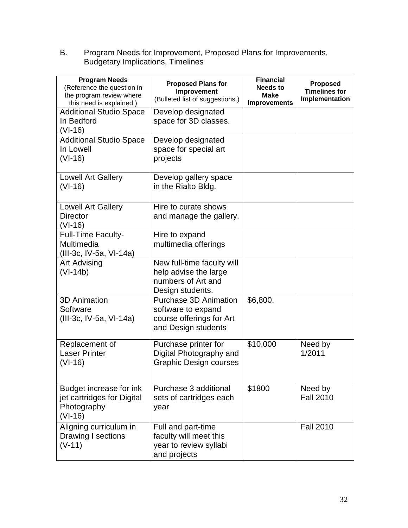B. Program Needs for Improvement, Proposed Plans for Improvements, Budgetary Implications, Timelines

| <b>Program Needs</b><br>(Reference the question in<br>the program review where<br>this need is explained.) | <b>Proposed Plans for</b><br>Improvement<br>(Bulleted list of suggestions.)                           | <b>Financial</b><br><b>Needs to</b><br><b>Make</b><br><b>Improvements</b> | <b>Proposed</b><br><b>Timelines for</b><br>Implementation |
|------------------------------------------------------------------------------------------------------------|-------------------------------------------------------------------------------------------------------|---------------------------------------------------------------------------|-----------------------------------------------------------|
| <b>Additional Studio Space</b><br>In Bedford<br>$(VI-16)$                                                  | Develop designated<br>space for 3D classes.                                                           |                                                                           |                                                           |
| <b>Additional Studio Space</b><br>In Lowell<br>$(VI-16)$                                                   | Develop designated<br>space for special art<br>projects                                               |                                                                           |                                                           |
| <b>Lowell Art Gallery</b><br>$(VI-16)$                                                                     | Develop gallery space<br>in the Rialto Bldg.                                                          |                                                                           |                                                           |
| Lowell Art Gallery<br><b>Director</b><br>$(VI-16)$                                                         | Hire to curate shows<br>and manage the gallery.                                                       |                                                                           |                                                           |
| <b>Full-Time Faculty-</b><br>Multimedia<br>(III-3c, IV-5a, VI-14a)                                         | Hire to expand<br>multimedia offerings                                                                |                                                                           |                                                           |
| <b>Art Advising</b><br>$(VI-14b)$                                                                          | New full-time faculty will<br>help advise the large<br>numbers of Art and<br>Design students.         |                                                                           |                                                           |
| <b>3D Animation</b><br>Software<br>(III-3c, IV-5a, VI-14a)                                                 | <b>Purchase 3D Animation</b><br>software to expand<br>course offerings for Art<br>and Design students | \$6,800.                                                                  |                                                           |
| Replacement of<br><b>Laser Printer</b><br>$(VI-16)$                                                        | Purchase printer for<br>Digital Photography and<br><b>Graphic Design courses</b>                      | \$10,000                                                                  | Need by<br>1/2011                                         |
| Budget increase for ink<br>jet cartridges for Digital<br>Photography<br>$(VI-16)$                          | Purchase 3 additional<br>sets of cartridges each<br>year                                              | \$1800                                                                    | Need by<br><b>Fall 2010</b>                               |
| Aligning curriculum in<br>Drawing I sections<br>$(V-11)$                                                   | Full and part-time<br>faculty will meet this<br>year to review syllabi<br>and projects                |                                                                           | <b>Fall 2010</b>                                          |